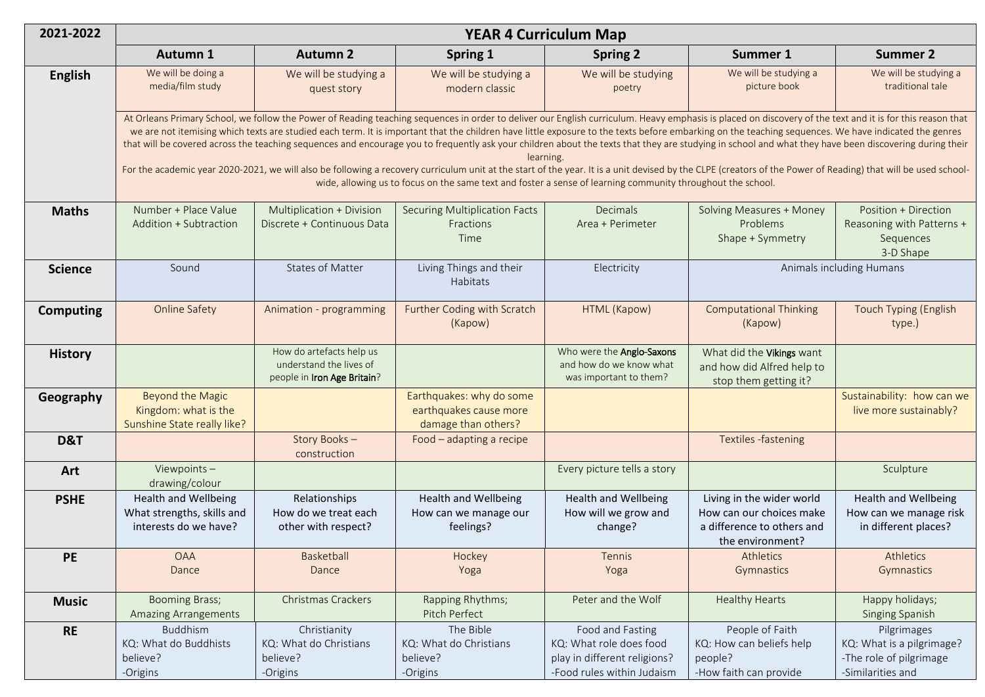| 2021-2022        | <b>YEAR 4 Curriculum Map</b>                                                                                                                                                                                                                                                                                                                                                                                                                                                                                                                                                                                                                                                                                                                                                                                                                                                                                                                                             |                                                                                    |                                                                           |                                                                                                           |                                                                                                         |                                                                                          |  |  |  |  |
|------------------|--------------------------------------------------------------------------------------------------------------------------------------------------------------------------------------------------------------------------------------------------------------------------------------------------------------------------------------------------------------------------------------------------------------------------------------------------------------------------------------------------------------------------------------------------------------------------------------------------------------------------------------------------------------------------------------------------------------------------------------------------------------------------------------------------------------------------------------------------------------------------------------------------------------------------------------------------------------------------|------------------------------------------------------------------------------------|---------------------------------------------------------------------------|-----------------------------------------------------------------------------------------------------------|---------------------------------------------------------------------------------------------------------|------------------------------------------------------------------------------------------|--|--|--|--|
|                  | Autumn 1                                                                                                                                                                                                                                                                                                                                                                                                                                                                                                                                                                                                                                                                                                                                                                                                                                                                                                                                                                 | <b>Autumn 2</b>                                                                    | Spring 1                                                                  | <b>Spring 2</b>                                                                                           | Summer 1                                                                                                | <b>Summer 2</b>                                                                          |  |  |  |  |
| <b>English</b>   | We will be doing a<br>media/film study                                                                                                                                                                                                                                                                                                                                                                                                                                                                                                                                                                                                                                                                                                                                                                                                                                                                                                                                   | We will be studying a<br>quest story                                               | We will be studying a<br>modern classic                                   | We will be studying<br>poetry                                                                             | We will be studying a<br>picture book                                                                   | We will be studying a<br>traditional tale                                                |  |  |  |  |
|                  | At Orleans Primary School, we follow the Power of Reading teaching sequences in order to deliver our English curriculum. Heavy emphasis is placed on discovery of the text and it is for this reason that<br>we are not itemising which texts are studied each term. It is important that the children have little exposure to the texts before embarking on the teaching sequences. We have indicated the genres<br>that will be covered across the teaching sequences and encourage you to frequently ask your children about the texts that they are studying in school and what they have been discovering during their<br>learning.<br>For the academic year 2020-2021, we will also be following a recovery curriculum unit at the start of the year. It is a unit devised by the CLPE (creators of the Power of Reading) that will be used school-<br>wide, allowing us to focus on the same text and foster a sense of learning community throughout the school. |                                                                                    |                                                                           |                                                                                                           |                                                                                                         |                                                                                          |  |  |  |  |
| <b>Maths</b>     | Number + Place Value<br>Addition + Subtraction                                                                                                                                                                                                                                                                                                                                                                                                                                                                                                                                                                                                                                                                                                                                                                                                                                                                                                                           | Multiplication + Division<br>Discrete + Continuous Data                            | <b>Securing Multiplication Facts</b><br>Fractions<br>Time                 | Decimals<br>Area + Perimeter                                                                              | <b>Solving Measures + Money</b><br>Problems<br>Shape + Symmetry                                         | Position + Direction<br>Reasoning with Patterns +<br>Sequences<br>3-D Shape              |  |  |  |  |
| <b>Science</b>   | Sound                                                                                                                                                                                                                                                                                                                                                                                                                                                                                                                                                                                                                                                                                                                                                                                                                                                                                                                                                                    | <b>States of Matter</b>                                                            | Living Things and their<br>Habitats                                       | Electricity                                                                                               | Animals including Humans                                                                                |                                                                                          |  |  |  |  |
| <b>Computing</b> | <b>Online Safety</b>                                                                                                                                                                                                                                                                                                                                                                                                                                                                                                                                                                                                                                                                                                                                                                                                                                                                                                                                                     | Animation - programming                                                            | Further Coding with Scratch<br>(Kapow)                                    | HTML (Kapow)                                                                                              | <b>Computational Thinking</b><br>(Kapow)                                                                | <b>Touch Typing (English</b><br>type.)                                                   |  |  |  |  |
| <b>History</b>   |                                                                                                                                                                                                                                                                                                                                                                                                                                                                                                                                                                                                                                                                                                                                                                                                                                                                                                                                                                          | How do artefacts help us<br>understand the lives of<br>people in Iron Age Britain? |                                                                           | Who were the Anglo-Saxons<br>and how do we know what<br>was important to them?                            | What did the Vikings want<br>and how did Alfred help to<br>stop them getting it?                        |                                                                                          |  |  |  |  |
| Geography        | <b>Beyond the Magic</b><br>Kingdom: what is the<br>Sunshine State really like?                                                                                                                                                                                                                                                                                                                                                                                                                                                                                                                                                                                                                                                                                                                                                                                                                                                                                           |                                                                                    | Earthquakes: why do some<br>earthquakes cause more<br>damage than others? |                                                                                                           |                                                                                                         | Sustainability: how can we<br>live more sustainably?                                     |  |  |  |  |
| D&T              |                                                                                                                                                                                                                                                                                                                                                                                                                                                                                                                                                                                                                                                                                                                                                                                                                                                                                                                                                                          | Story Books-<br>construction                                                       | Food - adapting a recipe                                                  |                                                                                                           | Textiles -fastening                                                                                     |                                                                                          |  |  |  |  |
| Art              | Viewpoints $-$<br>drawing/colour                                                                                                                                                                                                                                                                                                                                                                                                                                                                                                                                                                                                                                                                                                                                                                                                                                                                                                                                         |                                                                                    |                                                                           | Every picture tells a story                                                                               |                                                                                                         | Sculpture                                                                                |  |  |  |  |
| <b>PSHE</b>      | <b>Health and Wellbeing</b><br>What strengths, skills and<br>interests do we have?                                                                                                                                                                                                                                                                                                                                                                                                                                                                                                                                                                                                                                                                                                                                                                                                                                                                                       | Relationships<br>How do we treat each<br>other with respect?                       | <b>Health and Wellbeing</b><br>How can we manage our<br>feelings?         | Health and Wellbeing<br>How will we grow and<br>change?                                                   | Living in the wider world<br>How can our choices make<br>a difference to others and<br>the environment? | <b>Health and Wellbeing</b><br>How can we manage risk<br>in different places?            |  |  |  |  |
| <b>PE</b>        | <b>OAA</b><br>Dance                                                                                                                                                                                                                                                                                                                                                                                                                                                                                                                                                                                                                                                                                                                                                                                                                                                                                                                                                      | Basketball<br>Dance                                                                | Hockey<br>Yoga                                                            | Tennis<br>Yoga                                                                                            | Athletics<br>Gymnastics                                                                                 | Athletics<br>Gymnastics                                                                  |  |  |  |  |
| <b>Music</b>     | <b>Booming Brass;</b><br><b>Amazing Arrangements</b>                                                                                                                                                                                                                                                                                                                                                                                                                                                                                                                                                                                                                                                                                                                                                                                                                                                                                                                     | Christmas Crackers                                                                 | Rapping Rhythms;<br>Pitch Perfect                                         | Peter and the Wolf                                                                                        | <b>Healthy Hearts</b>                                                                                   | Happy holidays;<br>Singing Spanish                                                       |  |  |  |  |
| <b>RE</b>        | Buddhism<br>KQ: What do Buddhists<br>believe?<br>-Origins                                                                                                                                                                                                                                                                                                                                                                                                                                                                                                                                                                                                                                                                                                                                                                                                                                                                                                                | Christianity<br>KQ: What do Christians<br>believe?<br>-Origins                     | The Bible<br>KQ: What do Christians<br>believe?<br>-Origins               | Food and Fasting<br>KQ: What role does food<br>play in different religions?<br>-Food rules within Judaism | People of Faith<br>KQ: How can beliefs help<br>people?<br>-How faith can provide                        | Pilgrimages<br>KQ: What is a pilgrimage?<br>-The role of pilgrimage<br>-Similarities and |  |  |  |  |